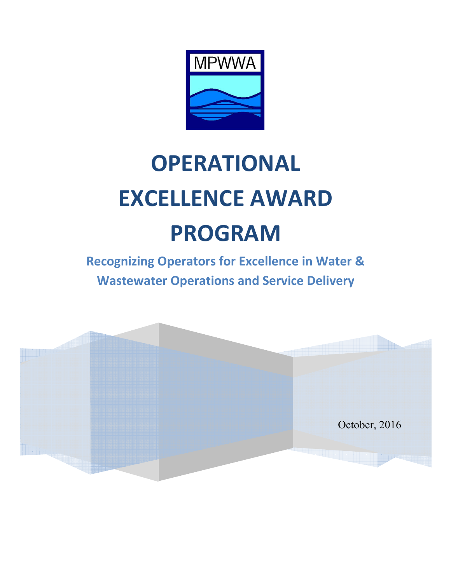

# **OPERATIONAL EXCELLENCE AWARD PROGRAM**

**Recognizing Operators for Excellence in Water & Wastewater Operations and Service Delivery** 

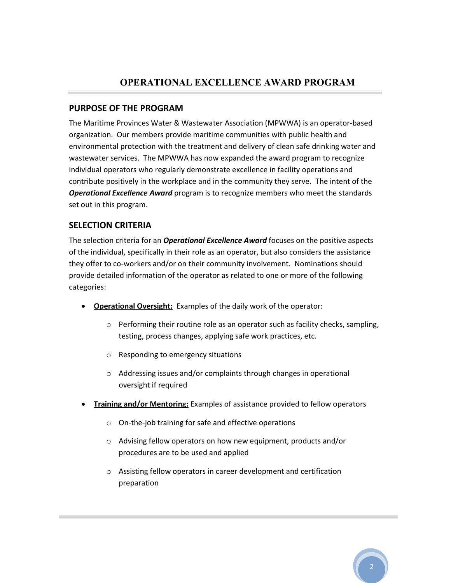#### **PURPOSE OF THE PROGRAM**

The Maritime Provinces Water & Wastewater Association (MPWWA) is an operator-based organization. Our members provide maritime communities with public health and environmental protection with the treatment and delivery of clean safe drinking water and wastewater services. The MPWWA has now expanded the award program to recognize individual operators who regularly demonstrate excellence in facility operations and contribute positively in the workplace and in the community they serve. The intent of the *Operational Excellence Award* program is to recognize members who meet the standards set out in this program.

## **SELECTION CRITERIA**

The selection criteria for an *Operational Excellence Award* focuses on the positive aspects of the individual, specifically in their role as an operator, but also considers the assistance they offer to co-workers and/or on their community involvement. Nominations should provide detailed information of the operator as related to one or more of the following categories:

- **Operational Oversight:** Examples of the daily work of the operator:
	- $\circ$  Performing their routine role as an operator such as facility checks, sampling, testing, process changes, applying safe work practices, etc.
	- o Responding to emergency situations
	- o Addressing issues and/or complaints through changes in operational oversight if required
- **Training and/or Mentoring:** Examples of assistance provided to fellow operators
	- o On-the-job training for safe and effective operations
	- o Advising fellow operators on how new equipment, products and/or procedures are to be used and applied
	- o Assisting fellow operators in career development and certification preparation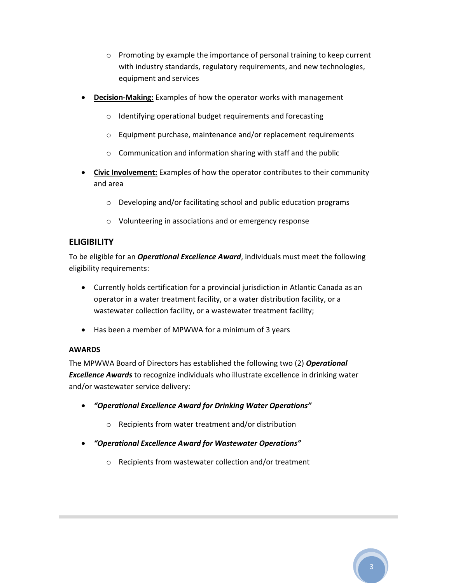- o Promoting by example the importance of personal training to keep current with industry standards, regulatory requirements, and new technologies, equipment and services
- **Decision-Making:** Examples of how the operator works with management
	- o Identifying operational budget requirements and forecasting
	- o Equipment purchase, maintenance and/or replacement requirements
	- o Communication and information sharing with staff and the public
- **Civic Involvement:** Examples of how the operator contributes to their community and area
	- o Developing and/or facilitating school and public education programs
	- o Volunteering in associations and or emergency response

## **ELIGIBILITY**

To be eligible for an *Operational Excellence Award*, individuals must meet the following eligibility requirements:

- Currently holds certification for a provincial jurisdiction in Atlantic Canada as an operator in a water treatment facility, or a water distribution facility, or a wastewater collection facility, or a wastewater treatment facility;
- Has been a member of MPWWA for a minimum of 3 years

#### **AWARDS**

The MPWWA Board of Directors has established the following two (2) *Operational Excellence Awards* to recognize individuals who illustrate excellence in drinking water and/or wastewater service delivery:

- *"Operational Excellence Award for Drinking Water Operations"*
	- o Recipients from water treatment and/or distribution
- *"Operational Excellence Award for Wastewater Operations"* 
	- o Recipients from wastewater collection and/or treatment